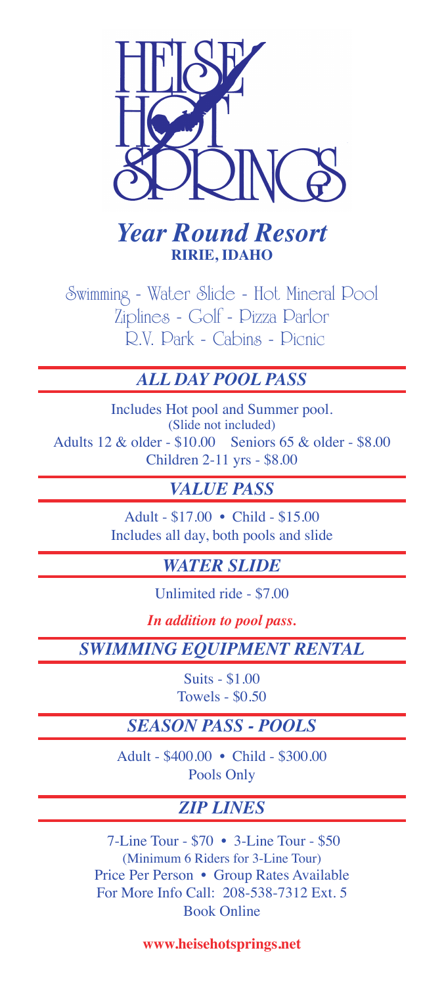

# *Year Round Resort* **RIRIE, IDAHO**

Swimming - Water Slide - Hot Mineral Pool Ziplines - Golf - Pizza Parlor R.V. Park - Cabins - Picnic

## *ALL DAY POOL PASS*

Includes Hot pool and Summer pool. (Slide not included) Adults 12 & older - \$10.00 Seniors 65 & older - \$8.00 Children 2-11 yrs - \$8.00

## *VALUE PASS*

Adult - \$17.00 • Child - \$15.00 Includes all day, both pools and slide

#### *WATER SLIDE*

Unlimited ride - \$7.00

*In addition to pool pass.*

*SWIMMING EQUIPMENT RENTAL*

Suits - \$1.00 Towels - \$0.50

## *SEASON PASS - POOLS*

Adult - \$400.00 • Child - \$300.00 Pools Only

# *ZIP LINES*

 7-Line Tour - \$70 • 3-Line Tour - \$50 (Minimum 6 Riders for 3-Line Tour) Price Per Person • Group Rates Available For More Info Call: 208-538-7312 Ext. 5 Book Online

**www.heisehotsprings.net**